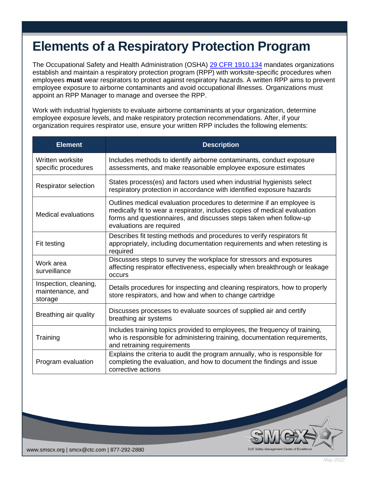## **Elements of a Respiratory Protection Program**

The Occupational Safety and Health Administration (OSHA) [29 CFR 1910.134](https://www.osha.gov/laws-regs/regulations/standardnumber/1910/1910.134) mandates organizations establish and maintain a respiratory protection program (RPP) with worksite-specific procedures when employees **must** wear respirators to protect against respiratory hazards. A written RPP aims to prevent employee exposure to airborne contaminants and avoid occupational illnesses. Organizations must appoint an RPP Manager to manage and oversee the RPP.

Work with industrial hygienists to evaluate airborne contaminants at your organization, determine employee exposure levels, and make respiratory protection recommendations. After, if your organization requires respirator use, ensure your written RPP includes the following elements:

| <b>Element</b>                                       | <b>Description</b>                                                                                                                                                                                                                                   |
|------------------------------------------------------|------------------------------------------------------------------------------------------------------------------------------------------------------------------------------------------------------------------------------------------------------|
| Written worksite<br>specific procedures              | Includes methods to identify airborne contaminants, conduct exposure<br>assessments, and make reasonable employee exposure estimates                                                                                                                 |
| <b>Respirator selection</b>                          | States process(es) and factors used when industrial hygienists select<br>respiratory protection in accordance with identified exposure hazards                                                                                                       |
| Medical evaluations                                  | Outlines medical evaluation procedures to determine if an employee is<br>medically fit to wear a respirator, includes copies of medical evaluation<br>forms and questionnaires, and discusses steps taken when follow-up<br>evaluations are required |
| Fit testing                                          | Describes fit testing methods and procedures to verify respirators fit<br>appropriately, including documentation requirements and when retesting is<br>required                                                                                      |
| Work area<br>surveillance                            | Discusses steps to survey the workplace for stressors and exposures<br>affecting respirator effectiveness, especially when breakthrough or leakage<br>occurs                                                                                         |
| Inspection, cleaning,<br>maintenance, and<br>storage | Details procedures for inspecting and cleaning respirators, how to properly<br>store respirators, and how and when to change cartridge                                                                                                               |
| Breathing air quality                                | Discusses processes to evaluate sources of supplied air and certify<br>breathing air systems                                                                                                                                                         |
| Training                                             | Includes training topics provided to employees, the frequency of training,<br>who is responsible for administering training, documentation requirements,<br>and retraining requirements                                                              |
| Program evaluation                                   | Explains the criteria to audit the program annually, who is responsible for<br>completing the evaluation, and how to document the findings and issue<br>corrective actions                                                                           |



DoD Safet